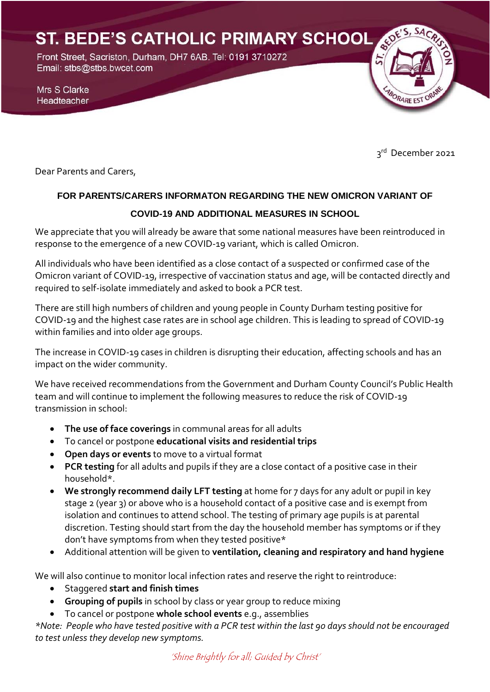ST. BEDE'S CATHOLIC PRIMARY SCHOOL Front Street, Sacriston, Durham, DH7 6AB. Tel: 0191 3710272 Email: stbs@stbs.bwcet.com Mrs S Clarke BORARE EST OF Headteacher

3rd December 2021

Dear Parents and Carers,

# **FOR PARENTS/CARERS INFORMATON REGARDING THE NEW OMICRON VARIANT OF**

### **COVID-19 AND ADDITIONAL MEASURES IN SCHOOL**

We appreciate that you will already be aware that some national measures have been reintroduced in response to the emergence of a new COVID-19 variant, which is called Omicron.

All individuals who have been identified as a close contact of a suspected or confirmed case of the Omicron variant of COVID-19, irrespective of vaccination status and age, will be contacted directly and required to self-isolate immediately and asked to book a PCR test.

There are still high numbers of children and young people in County Durham testing positive for COVID-19 and the highest case rates are in school age children. This is leading to spread of COVID-19 within families and into older age groups.

The increase in COVID-19 cases in children is disrupting their education, affecting schools and has an impact on the wider community.

We have received recommendations from the Government and Durham County Council's Public Health team and will continue to implement the following measures to reduce the risk of COVID-19 transmission in school:

- **The use of face coverings** in communal areas for all adults
- To cancel or postpone **educational visits and residential trips**
- **Open days or events** to move to a virtual format
- **PCR testing** for all adults and pupils if they are a close contact of a positive case in their household\*.
- **We strongly recommend daily LFT testing** at home for 7 days for any adult or pupil in key stage 2 (year 3) or above who is a household contact of a positive case and is exempt from isolation and continues to attend school. The testing of primary age pupils is at parental discretion. Testing should start from the day the household member has symptoms or if they don't have symptoms from when they tested positive\*
- Additional attention will be given to **ventilation, cleaning and respiratory and hand hygiene**

We will also continue to monitor local infection rates and reserve the right to reintroduce:

- Staggered **start and finish times**
- **Grouping of pupils** in school by class or year group to reduce mixing
- To cancel or postpone **whole school events** e.g., assemblies

*\*Note: People who have tested positive with a PCR test within the last 90 days should not be encouraged to test unless they develop new symptoms.*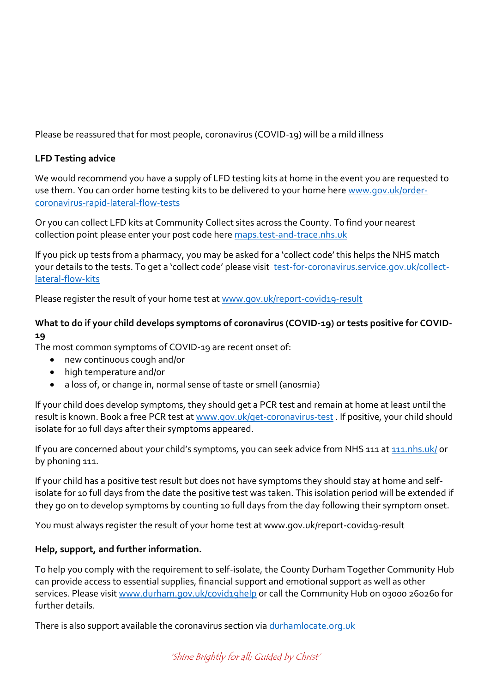Please be reassured that for most people, coronavirus (COVID-19) will be a mild illness

## **LFD Testing advice**

We would recommend you have a supply of LFD testing kits at home in the event you are requested to use them. You can order home testing kits to be delivered to your home here [www.gov.uk/order](http://www.gov.uk/order-coronavirus-rapid-lateral-flow-tests)[coronavirus-rapid-lateral-flow-tests](http://www.gov.uk/order-coronavirus-rapid-lateral-flow-tests)

Or you can collect LFD kits at Community Collect sites across the County. To find your nearest collection point please enter your post code here [maps.test-and-trace.nhs.uk](https://maps.test-and-trace.nhs.uk/)

If you pick up tests from a pharmacy, you may be asked for a 'collect code' this helps the NHS match your details to the tests. To get a 'collect code' please visit [test-for-coronavirus.service.gov.uk/collect](https://test-for-coronavirus.service.gov.uk/collect-lateral-flow-kits)[lateral-flow-kits](https://test-for-coronavirus.service.gov.uk/collect-lateral-flow-kits)

Please register the result of your home test a[t www.gov.uk/report-covid19-result](http://www.gov.uk/report-covid19-result)

## **What to do if your child develops symptoms of coronavirus (COVID-19) or tests positive for COVID-19**

The most common symptoms of COVID-19 are recent onset of:

- new continuous cough and/or
- high temperature and/or
- a loss of, or change in, normal sense of taste or smell (anosmia)

If your child does develop symptoms, they should get a PCR test and remain at home at least until the result is known. Book a free PCR test at [www.gov.uk/get-coronavirus-test](http://www.gov.uk/get-coronavirus-test). If positive, your child should isolate for 10 full days after their symptoms appeared.

If you are concerned about your child's symptoms, you can seek advice from NHS 111 at [111.nhs.uk/](https://111.nhs.uk/) or by phoning 111.

If your child has a positive test result but does not have symptoms they should stay at home and selfisolate for 10 full days from the date the positive test was taken. This isolation period will be extended if they go on to develop symptoms by counting 10 full days from the day following their symptom onset.

You must always register the result of your home test at www.gov.uk/report-covid19-result

### **Help, support, and further information.**

To help you comply with the requirement to self-isolate, the County Durham Together Community Hub can provide access to essential supplies, financial support and emotional support as well as other services. Please visi[t www.durham.gov.uk/covid19help](http://www.durham.gov.uk/covid19help) or call the Community Hub on 03000 260260 for further details.

There is also support available the coronavirus section via durhamlocate.org.uk